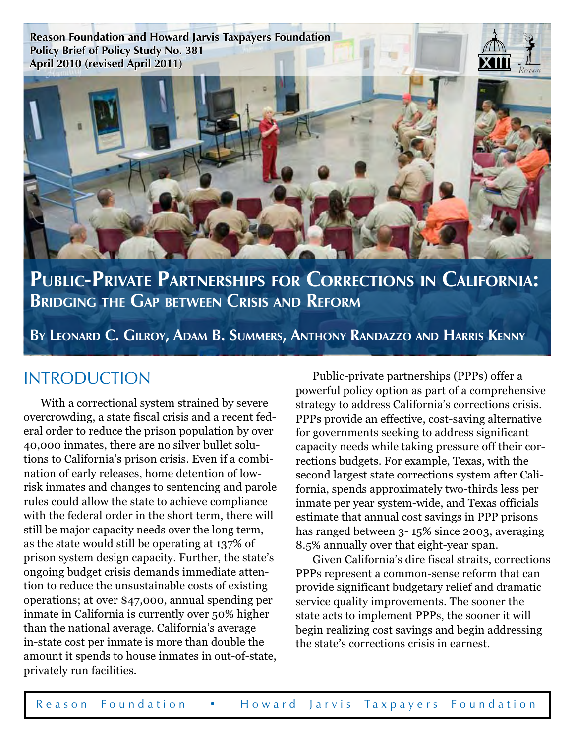**Reason Foundation and Howard Jarvis Taxpayers Foundation Policy Brief of Policy Study No. 381 April 2010 (revised April 2011)**



**Public-Private Partnerships for Corrections in California: Bridging the Gap between Crisis and Reform**

**By Leonard C. Gilroy, Adam B. Summers, Anthony Randazzo and Harris Kenny**

## **INTRODUCTION**

With a correctional system strained by severe overcrowding, a state fiscal crisis and a recent federal order to reduce the prison population by over 40,000 inmates, there are no silver bullet solutions to California's prison crisis. Even if a combination of early releases, home detention of lowrisk inmates and changes to sentencing and parole rules could allow the state to achieve compliance with the federal order in the short term, there will still be major capacity needs over the long term, as the state would still be operating at 137% of prison system design capacity. Further, the state's ongoing budget crisis demands immediate attention to reduce the unsustainable costs of existing operations; at over \$47,000, annual spending per inmate in California is currently over 50% higher than the national average. California's average in-state cost per inmate is more than double the amount it spends to house inmates in out-of-state, privately run facilities.

Public-private partnerships (PPPs) offer a powerful policy option as part of a comprehensive strategy to address California's corrections crisis. PPPs provide an effective, cost-saving alternative for governments seeking to address significant capacity needs while taking pressure off their corrections budgets. For example, Texas, with the second largest state corrections system after California, spends approximately two-thirds less per inmate per year system-wide, and Texas officials estimate that annual cost savings in PPP prisons has ranged between 3- 15% since 2003, averaging 8.5% annually over that eight-year span.

Given California's dire fiscal straits, corrections PPPs represent a common-sense reform that can provide significant budgetary relief and dramatic service quality improvements. The sooner the state acts to implement PPPs, the sooner it will begin realizing cost savings and begin addressing the state's corrections crisis in earnest.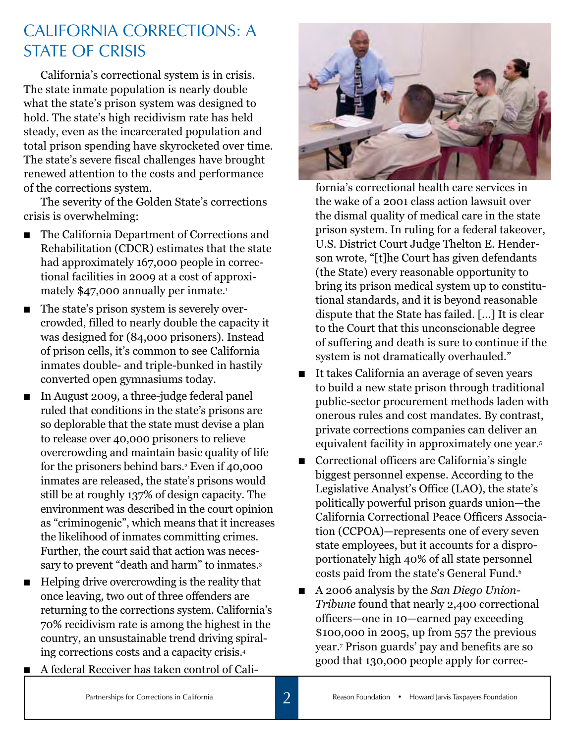# California Corrections: A **STATE OF CRISIS**

California's correctional system is in crisis. The state inmate population is nearly double what the state's prison system was designed to hold. The state's high recidivism rate has held steady, even as the incarcerated population and total prison spending have skyrocketed over time. The state's severe fiscal challenges have brought renewed attention to the costs and performance of the corrections system.

The severity of the Golden State's corrections crisis is overwhelming:

- The California Department of Corrections and Rehabilitation (CDCR) estimates that the state had approximately 167,000 people in correctional facilities in 2009 at a cost of approximately \$47,000 annually per inmate.<sup>1</sup>
- The state's prison system is severely overcrowded, filled to nearly double the capacity it was designed for (84,000 prisoners). Instead of prison cells, it's common to see California inmates double- and triple-bunked in hastily converted open gymnasiums today.
- n In August 2009, a three-judge federal panel ruled that conditions in the state's prisons are so deplorable that the state must devise a plan to release over 40,000 prisoners to relieve overcrowding and maintain basic quality of life for the prisoners behind bars.<sup>2</sup> Even if 40,000 inmates are released, the state's prisons would still be at roughly 137% of design capacity. The environment was described in the court opinion as "criminogenic", which means that it increases the likelihood of inmates committing crimes. Further, the court said that action was necessary to prevent "death and harm" to inmates.<sup>3</sup>
- n Helping drive overcrowding is the reality that once leaving, two out of three offenders are returning to the corrections system. California's 70% recidivism rate is among the highest in the country, an unsustainable trend driving spiraling corrections costs and a capacity crisis.4
	- n A federal Receiver has taken control of Cali-



fornia's correctional health care services in the wake of a 2001 class action lawsuit over the dismal quality of medical care in the state prison system. In ruling for a federal takeover, U.S. District Court Judge Thelton E. Henderson wrote, "[t]he Court has given defendants (the State) every reasonable opportunity to bring its prison medical system up to constitutional standards, and it is beyond reasonable dispute that the State has failed. [...] It is clear to the Court that this unconscionable degree of suffering and death is sure to continue if the system is not dramatically overhauled."

- It takes California an average of seven years to build a new state prison through traditional public-sector procurement methods laden with onerous rules and cost mandates. By contrast, private corrections companies can deliver an equivalent facility in approximately one year.<sup>5</sup>
- $\blacksquare$  Correctional officers are California's single biggest personnel expense. According to the Legislative Analyst's Office (LAO), the state's politically powerful prison guards union—the California Correctional Peace Officers Association (CCPOA)—represents one of every seven state employees, but it accounts for a disproportionately high 40% of all state personnel costs paid from the state's General Fund.<sup>6</sup>
- A 2006 analysis by the *San Diego Union Tribune* found that nearly 2,400 correctional officers—one in 10—earned pay exceeding \$100,000 in 2005, up from 557 the previous year.7 Prison guards' pay and benefits are so good that 130,000 people apply for correc-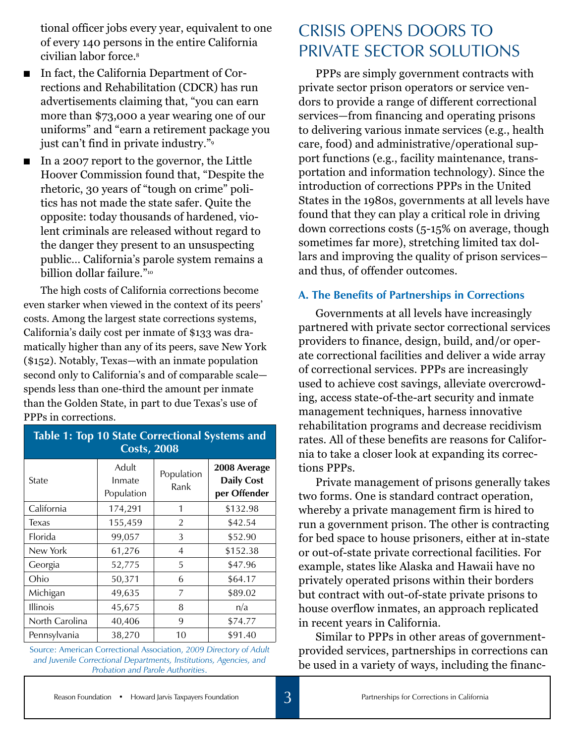tional officer jobs every year, equivalent to one of every 140 persons in the entire California civilian labor force.8

- In fact, the California Department of Corrections and Rehabilitation (CDCR) has run advertisements claiming that, "you can earn more than \$73,000 a year wearing one of our uniforms" and "earn a retirement package you just can't find in private industry."9
- n In a 2007 report to the governor, the Little Hoover Commission found that, "Despite the rhetoric, 30 years of "tough on crime" politics has not made the state safer. Quite the opposite: today thousands of hardened, violent criminals are released without regard to the danger they present to an unsuspecting public… California's parole system remains a billion dollar failure."<sup>10</sup>

The high costs of California corrections become even starker when viewed in the context of its peers' costs. Among the largest state corrections systems, California's daily cost per inmate of \$133 was dramatically higher than any of its peers, save New York (\$152). Notably, Texas—with an inmate population second only to California's and of comparable scale spends less than one-third the amount per inmate than the Golden State, in part to due Texas's use of PPPs in corrections.

## **Table 1: Top 10 State Correctional Systems and Costs, 2008**

| State           | Adult<br>Inmate<br>Population | Population<br>Rank | 2008 Average<br><b>Daily Cost</b><br>per Offender |
|-----------------|-------------------------------|--------------------|---------------------------------------------------|
| California      | 174,291                       | 1                  | \$132.98                                          |
| <b>Texas</b>    | 155,459                       | $\overline{2}$     | \$42.54                                           |
| Florida         | 99,057                        | 3                  | \$52.90                                           |
| New York        | 61,276                        | 4                  | \$152.38                                          |
| Georgia         | 52,775                        | 5                  | \$47.96                                           |
| Ohio            | 50,371                        | 6                  | \$64.17                                           |
| Michigan        | 49,635                        | 7                  | \$89.02                                           |
| <b>Illinois</b> | 45,675                        | 8                  | n/a                                               |
| North Carolina  | 40,406                        | 9                  | \$74.77                                           |
| Pennsylvania    | 38,270                        | 10                 | \$91.40                                           |

Source: American Correctional Association, *2009 Directory of Adult and Juvenile Correctional Departments, Institutions, Agencies, and Probation and Parole Authorities*.

## Crisis Opens Doors to Private Sector Solutions

PPPs are simply government contracts with private sector prison operators or service vendors to provide a range of different correctional services—from financing and operating prisons to delivering various inmate services (e.g., health care, food) and administrative/operational support functions (e.g., facility maintenance, transportation and information technology). Since the introduction of corrections PPPs in the United States in the 1980s, governments at all levels have found that they can play a critical role in driving down corrections costs (5-15% on average, though sometimes far more), stretching limited tax dollars and improving the quality of prison services– and thus, of offender outcomes.

#### **A. The Benefits of Partnerships in Corrections**

Governments at all levels have increasingly partnered with private sector correctional services providers to finance, design, build, and/or operate correctional facilities and deliver a wide array of correctional services. PPPs are increasingly used to achieve cost savings, alleviate overcrowding, access state-of-the-art security and inmate management techniques, harness innovative rehabilitation programs and decrease recidivism rates. All of these benefits are reasons for California to take a closer look at expanding its corrections PPPs.

Private management of prisons generally takes two forms. One is standard contract operation, whereby a private management firm is hired to run a government prison. The other is contracting for bed space to house prisoners, either at in-state or out-of-state private correctional facilities. For example, states like Alaska and Hawaii have no privately operated prisons within their borders but contract with out-of-state private prisons to house overflow inmates, an approach replicated in recent years in California.

Similar to PPPs in other areas of governmentprovided services, partnerships in corrections can be used in a variety of ways, including the financ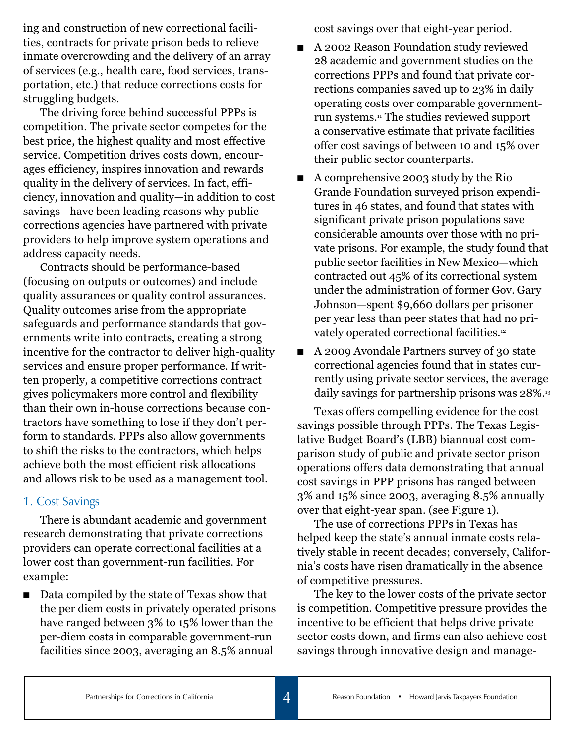ing and construction of new correctional facilities, contracts for private prison beds to relieve inmate overcrowding and the delivery of an array of services (e.g., health care, food services, transportation, etc.) that reduce corrections costs for struggling budgets.

The driving force behind successful PPPs is competition. The private sector competes for the best price, the highest quality and most effective service. Competition drives costs down, encourages efficiency, inspires innovation and rewards quality in the delivery of services. In fact, efficiency, innovation and quality—in addition to cost savings—have been leading reasons why public corrections agencies have partnered with private providers to help improve system operations and address capacity needs.

Contracts should be performance-based (focusing on outputs or outcomes) and include quality assurances or quality control assurances. Quality outcomes arise from the appropriate safeguards and performance standards that governments write into contracts, creating a strong incentive for the contractor to deliver high-quality services and ensure proper performance. If written properly, a competitive corrections contract gives policymakers more control and flexibility than their own in-house corrections because contractors have something to lose if they don't perform to standards. PPPs also allow governments to shift the risks to the contractors, which helps achieve both the most efficient risk allocations and allows risk to be used as a management tool.

#### 1. Cost Savings

There is abundant academic and government research demonstrating that private corrections providers can operate correctional facilities at a lower cost than government-run facilities. For example:

■ Data compiled by the state of Texas show that the per diem costs in privately operated prisons have ranged between 3% to 15% lower than the per-diem costs in comparable government-run facilities since 2003, averaging an 8.5% annual

cost savings over that eight-year period.

- A 2002 Reason Foundation study reviewed 28 academic and government studies on the corrections PPPs and found that private corrections companies saved up to 23% in daily operating costs over comparable governmentrun systems.11 The studies reviewed support a conservative estimate that private facilities offer cost savings of between 10 and 15% over their public sector counterparts.
- n A comprehensive 2003 study by the Rio Grande Foundation surveyed prison expenditures in 46 states, and found that states with significant private prison populations save considerable amounts over those with no private prisons. For example, the study found that public sector facilities in New Mexico—which contracted out 45% of its correctional system under the administration of former Gov. Gary Johnson—spent \$9,660 dollars per prisoner per year less than peer states that had no privately operated correctional facilities.<sup>12</sup>
- n A 2009 Avondale Partners survey of 30 state correctional agencies found that in states currently using private sector services, the average daily savings for partnership prisons was 28%.13

Texas offers compelling evidence for the cost savings possible through PPPs. The Texas Legislative Budget Board's (LBB) biannual cost comparison study of public and private sector prison operations offers data demonstrating that annual cost savings in PPP prisons has ranged between 3% and 15% since 2003, averaging 8.5% annually over that eight-year span. (see Figure 1).

The use of corrections PPPs in Texas has helped keep the state's annual inmate costs relatively stable in recent decades; conversely, California's costs have risen dramatically in the absence of competitive pressures.

The key to the lower costs of the private sector is competition. Competitive pressure provides the incentive to be efficient that helps drive private sector costs down, and firms can also achieve cost savings through innovative design and manage-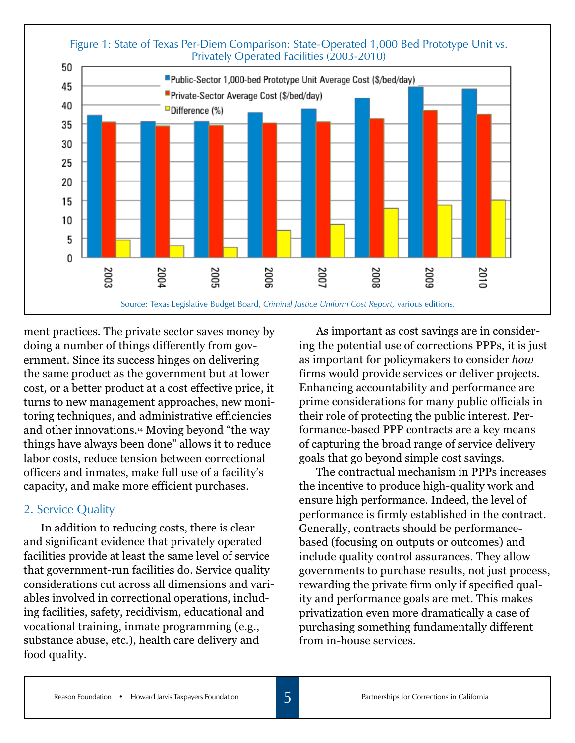

ment practices. The private sector saves money by doing a number of things differently from government. Since its success hinges on delivering the same product as the government but at lower cost, or a better product at a cost effective price, it turns to new management approaches, new monitoring techniques, and administrative efficiencies and other innovations.14 Moving beyond "the way things have always been done" allows it to reduce labor costs, reduce tension between correctional officers and inmates, make full use of a facility's capacity, and make more efficient purchases.

#### 2. Service Quality

In addition to reducing costs, there is clear and significant evidence that privately operated facilities provide at least the same level of service that government-run facilities do. Service quality considerations cut across all dimensions and variables involved in correctional operations, including facilities, safety, recidivism, educational and vocational training, inmate programming (e.g., substance abuse, etc.), health care delivery and food quality.

As important as cost savings are in considering the potential use of corrections PPPs, it is just as important for policymakers to consider *how* firms would provide services or deliver projects. Enhancing accountability and performance are prime considerations for many public officials in their role of protecting the public interest. Performance-based PPP contracts are a key means of capturing the broad range of service delivery goals that go beyond simple cost savings.

The contractual mechanism in PPPs increases the incentive to produce high-quality work and ensure high performance. Indeed, the level of performance is firmly established in the contract. Generally, contracts should be performancebased (focusing on outputs or outcomes) and include quality control assurances. They allow governments to purchase results, not just process, rewarding the private firm only if specified quality and performance goals are met. This makes privatization even more dramatically a case of purchasing something fundamentally different from in-house services.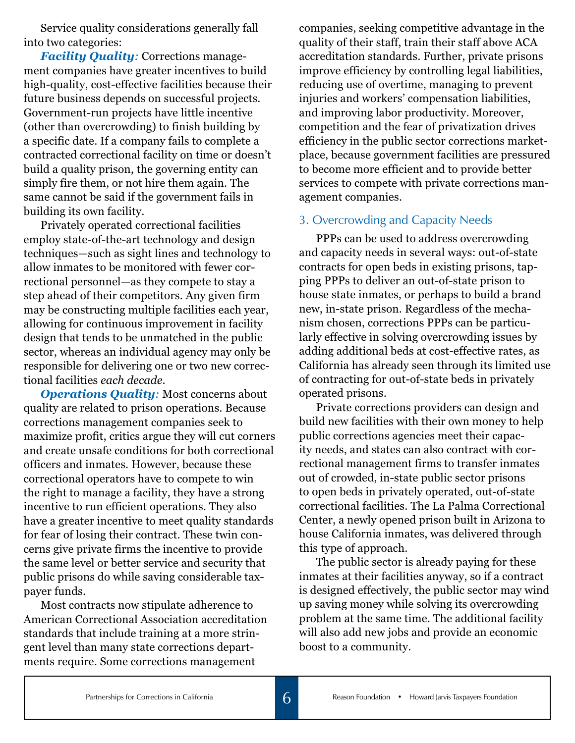Service quality considerations generally fall into two categories:

*Facility Quality:* Corrections management companies have greater incentives to build high-quality, cost-effective facilities because their future business depends on successful projects. Government-run projects have little incentive (other than overcrowding) to finish building by a specific date. If a company fails to complete a contracted correctional facility on time or doesn't build a quality prison, the governing entity can simply fire them, or not hire them again. The same cannot be said if the government fails in building its own facility.

Privately operated correctional facilities employ state-of-the-art technology and design techniques—such as sight lines and technology to allow inmates to be monitored with fewer correctional personnel—as they compete to stay a step ahead of their competitors. Any given firm may be constructing multiple facilities each year, allowing for continuous improvement in facility design that tends to be unmatched in the public sector, whereas an individual agency may only be responsible for delivering one or two new correctional facilities *each decade*.

*Operations Quality:* Most concerns about quality are related to prison operations. Because corrections management companies seek to maximize profit, critics argue they will cut corners and create unsafe conditions for both correctional officers and inmates. However, because these correctional operators have to compete to win the right to manage a facility, they have a strong incentive to run efficient operations. They also have a greater incentive to meet quality standards for fear of losing their contract. These twin concerns give private firms the incentive to provide the same level or better service and security that public prisons do while saving considerable taxpayer funds.

Most contracts now stipulate adherence to American Correctional Association accreditation standards that include training at a more stringent level than many state corrections departments require. Some corrections management

companies, seeking competitive advantage in the quality of their staff, train their staff above ACA accreditation standards. Further, private prisons improve efficiency by controlling legal liabilities, reducing use of overtime, managing to prevent injuries and workers' compensation liabilities, and improving labor productivity. Moreover, competition and the fear of privatization drives efficiency in the public sector corrections marketplace, because government facilities are pressured to become more efficient and to provide better services to compete with private corrections management companies.

#### 3. Overcrowding and Capacity Needs

PPPs can be used to address overcrowding and capacity needs in several ways: out-of-state contracts for open beds in existing prisons, tapping PPPs to deliver an out-of-state prison to house state inmates, or perhaps to build a brand new, in-state prison. Regardless of the mechanism chosen, corrections PPPs can be particularly effective in solving overcrowding issues by adding additional beds at cost-effective rates, as California has already seen through its limited use of contracting for out-of-state beds in privately operated prisons.

Private corrections providers can design and build new facilities with their own money to help public corrections agencies meet their capacity needs, and states can also contract with correctional management firms to transfer inmates out of crowded, in-state public sector prisons to open beds in privately operated, out-of-state correctional facilities. The La Palma Correctional Center, a newly opened prison built in Arizona to house California inmates, was delivered through this type of approach.

The public sector is already paying for these inmates at their facilities anyway, so if a contract is designed effectively, the public sector may wind up saving money while solving its overcrowding problem at the same time. The additional facility will also add new jobs and provide an economic boost to a community.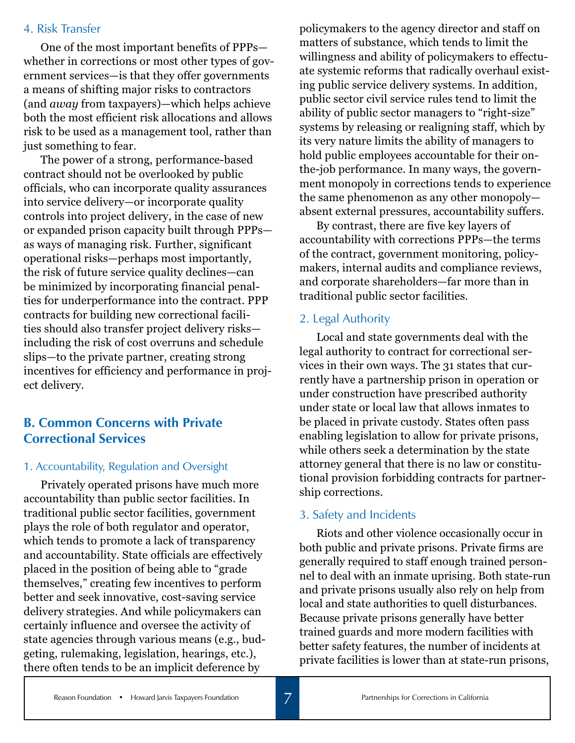#### 4. Risk Transfer

One of the most important benefits of PPPs whether in corrections or most other types of government services—is that they offer governments a means of shifting major risks to contractors (and *away* from taxpayers)—which helps achieve both the most efficient risk allocations and allows risk to be used as a management tool, rather than just something to fear.

The power of a strong, performance-based contract should not be overlooked by public officials, who can incorporate quality assurances into service delivery—or incorporate quality controls into project delivery, in the case of new or expanded prison capacity built through PPPs as ways of managing risk. Further, significant operational risks—perhaps most importantly, the risk of future service quality declines—can be minimized by incorporating financial penalties for underperformance into the contract. PPP contracts for building new correctional facilities should also transfer project delivery risks including the risk of cost overruns and schedule slips—to the private partner, creating strong incentives for efficiency and performance in project delivery.

### **B. Common Concerns with Private Correctional Services**

#### 1. Accountability, Regulation and Oversight

Privately operated prisons have much more accountability than public sector facilities. In traditional public sector facilities, government plays the role of both regulator and operator, which tends to promote a lack of transparency and accountability. State officials are effectively placed in the position of being able to "grade themselves," creating few incentives to perform better and seek innovative, cost-saving service delivery strategies. And while policymakers can certainly influence and oversee the activity of state agencies through various means (e.g., budgeting, rulemaking, legislation, hearings, etc.), there often tends to be an implicit deference by

policymakers to the agency director and staff on matters of substance, which tends to limit the willingness and ability of policymakers to effectuate systemic reforms that radically overhaul existing public service delivery systems. In addition, public sector civil service rules tend to limit the ability of public sector managers to "right-size" systems by releasing or realigning staff, which by its very nature limits the ability of managers to hold public employees accountable for their onthe-job performance. In many ways, the government monopoly in corrections tends to experience the same phenomenon as any other monopoly absent external pressures, accountability suffers.

By contrast, there are five key layers of accountability with corrections PPPs—the terms of the contract, government monitoring, policymakers, internal audits and compliance reviews, and corporate shareholders—far more than in traditional public sector facilities.

#### 2. Legal Authority

Local and state governments deal with the legal authority to contract for correctional services in their own ways. The 31 states that currently have a partnership prison in operation or under construction have prescribed authority under state or local law that allows inmates to be placed in private custody. States often pass enabling legislation to allow for private prisons, while others seek a determination by the state attorney general that there is no law or constitutional provision forbidding contracts for partnership corrections.

### 3. Safety and Incidents

Riots and other violence occasionally occur in both public and private prisons. Private firms are generally required to staff enough trained personnel to deal with an inmate uprising. Both state-run and private prisons usually also rely on help from local and state authorities to quell disturbances. Because private prisons generally have better trained guards and more modern facilities with better safety features, the number of incidents at private facilities is lower than at state-run prisons,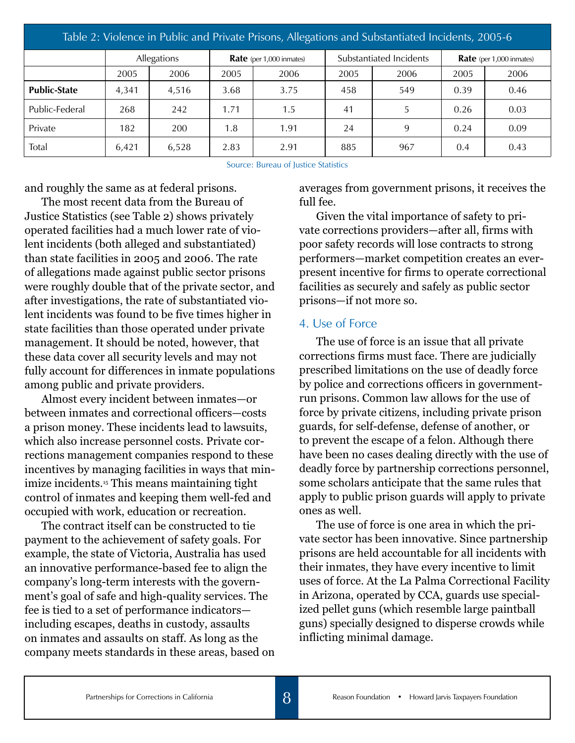| Table 2: Violence in Public and Private Prisons, Allegations and Substantiated Incidents, 2005-6 |       |             |      |                                 |      |                         |      |                                 |  |
|--------------------------------------------------------------------------------------------------|-------|-------------|------|---------------------------------|------|-------------------------|------|---------------------------------|--|
|                                                                                                  |       | Allegations |      | <b>Rate</b> (per 1,000 inmates) |      | Substantiated Incidents |      | <b>Rate</b> (per 1,000 inmates) |  |
|                                                                                                  | 2005  | 2006        | 2005 | 2006                            | 2005 | 2006                    | 2005 | 2006                            |  |
| <b>Public-State</b>                                                                              | 4,341 | 4,516       | 3.68 | 3.75                            | 458  | 549                     | 0.39 | 0.46                            |  |
| Public-Federal                                                                                   | 268   | 242         | 1.71 | 1.5                             | 41   | 5                       | 0.26 | 0.03                            |  |
| Private                                                                                          | 182   | 200         | 1.8  | 1.91                            | 24   | 9                       | 0.24 | 0.09                            |  |
| Total                                                                                            | 6,421 | 6,528       | 2.83 | 2.91                            | 885  | 967                     | 0.4  | 0.43                            |  |

Source: Bureau of Justice Statistics

and roughly the same as at federal prisons.

The most recent data from the Bureau of Justice Statistics (see Table 2) shows privately operated facilities had a much lower rate of violent incidents (both alleged and substantiated) than state facilities in 2005 and 2006. The rate of allegations made against public sector prisons were roughly double that of the private sector, and after investigations, the rate of substantiated violent incidents was found to be five times higher in state facilities than those operated under private management. It should be noted, however, that these data cover all security levels and may not fully account for differences in inmate populations among public and private providers.

Almost every incident between inmates—or between inmates and correctional officers—costs a prison money. These incidents lead to lawsuits, which also increase personnel costs. Private corrections management companies respond to these incentives by managing facilities in ways that minimize incidents.15 This means maintaining tight control of inmates and keeping them well-fed and occupied with work, education or recreation.

The contract itself can be constructed to tie payment to the achievement of safety goals. For example, the state of Victoria, Australia has used an innovative performance-based fee to align the company's long-term interests with the government's goal of safe and high-quality services. The fee is tied to a set of performance indicators including escapes, deaths in custody, assaults on inmates and assaults on staff. As long as the company meets standards in these areas, based on averages from government prisons, it receives the full fee.

Given the vital importance of safety to private corrections providers—after all, firms with poor safety records will lose contracts to strong performers—market competition creates an everpresent incentive for firms to operate correctional facilities as securely and safely as public sector prisons—if not more so.

#### 4. Use of Force

The use of force is an issue that all private corrections firms must face. There are judicially prescribed limitations on the use of deadly force by police and corrections officers in governmentrun prisons. Common law allows for the use of force by private citizens, including private prison guards, for self-defense, defense of another, or to prevent the escape of a felon. Although there have been no cases dealing directly with the use of deadly force by partnership corrections personnel, some scholars anticipate that the same rules that apply to public prison guards will apply to private ones as well.

The use of force is one area in which the private sector has been innovative. Since partnership prisons are held accountable for all incidents with their inmates, they have every incentive to limit uses of force. At the La Palma Correctional Facility in Arizona, operated by CCA, guards use specialized pellet guns (which resemble large paintball guns) specially designed to disperse crowds while inflicting minimal damage.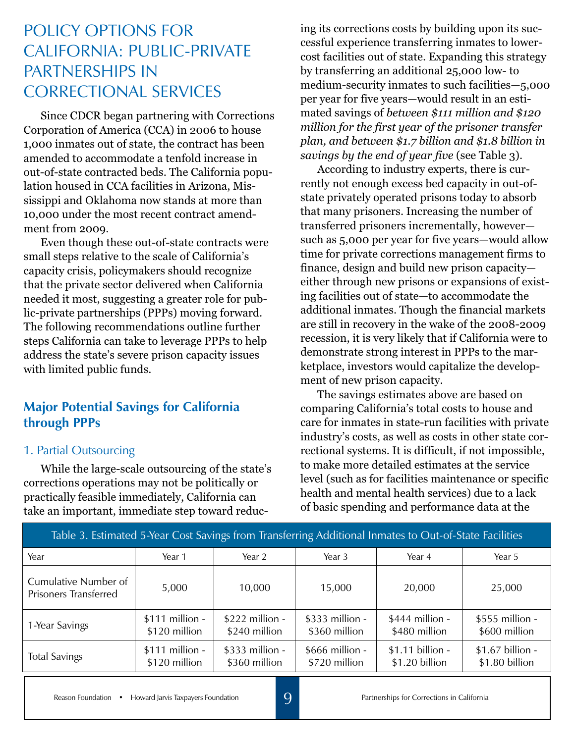# Policy Options for California: Public-Private Partnerships in Correctional Services

Since CDCR began partnering with Corrections Corporation of America (CCA) in 2006 to house 1,000 inmates out of state, the contract has been amended to accommodate a tenfold increase in out-of-state contracted beds. The California population housed in CCA facilities in Arizona, Mississippi and Oklahoma now stands at more than 10,000 under the most recent contract amendment from 2009.

Even though these out-of-state contracts were small steps relative to the scale of California's capacity crisis, policymakers should recognize that the private sector delivered when California needed it most, suggesting a greater role for public-private partnerships (PPPs) moving forward. The following recommendations outline further steps California can take to leverage PPPs to help address the state's severe prison capacity issues with limited public funds.

### **Major Potential Savings for California through PPPs**

#### 1. Partial Outsourcing

While the large-scale outsourcing of the state's corrections operations may not be politically or practically feasible immediately, California can take an important, immediate step toward reduc-

ing its corrections costs by building upon its successful experience transferring inmates to lowercost facilities out of state. Expanding this strategy by transferring an additional 25,000 low- to medium-security inmates to such facilities—5,000 per year for five years—would result in an estimated savings of *between \$111 million and \$120 million for the first year of the prisoner transfer plan, and between \$1.7 billion and \$1.8 billion in savings by the end of year five* (see Table 3).

According to industry experts, there is currently not enough excess bed capacity in out-ofstate privately operated prisons today to absorb that many prisoners. Increasing the number of transferred prisoners incrementally, however such as 5,000 per year for five years—would allow time for private corrections management firms to finance, design and build new prison capacity either through new prisons or expansions of existing facilities out of state—to accommodate the additional inmates. Though the financial markets are still in recovery in the wake of the 2008-2009 recession, it is very likely that if California were to demonstrate strong interest in PPPs to the marketplace, investors would capitalize the development of new prison capacity.

The savings estimates above are based on comparing California's total costs to house and care for inmates in state-run facilities with private industry's costs, as well as costs in other state correctional systems. It is difficult, if not impossible, to make more detailed estimates at the service level (such as for facilities maintenance or specific health and mental health services) due to a lack of basic spending and performance data at the

| Table 3. Estimated 5-Year Cost Savings from Transferring Additional Inmates to Out-of-State Facilities |                                  |                                   |                                   |                                    |                                    |  |  |  |
|--------------------------------------------------------------------------------------------------------|----------------------------------|-----------------------------------|-----------------------------------|------------------------------------|------------------------------------|--|--|--|
| Year                                                                                                   | Year 1                           | Year 2                            | Year 3                            | Year 4                             | Year 5                             |  |  |  |
| Cumulative Number of<br><b>Prisoners Transferred</b>                                                   | 5,000                            | 10,000                            | 15,000                            | 20,000                             | 25,000                             |  |  |  |
| 1-Year Savings                                                                                         | \$111 million -<br>\$120 million | $$222$ million -<br>\$240 million | $$333$ million -<br>\$360 million | $$444$ million -<br>\$480 million  | \$555 million -<br>\$600 million   |  |  |  |
| <b>Total Savings</b>                                                                                   | \$111 million -<br>\$120 million | \$333 million -<br>\$360 million  | $$666$ million -<br>\$720 million | \$1.11 billion -<br>\$1.20 billion | \$1.67 billion -<br>\$1.80 billion |  |  |  |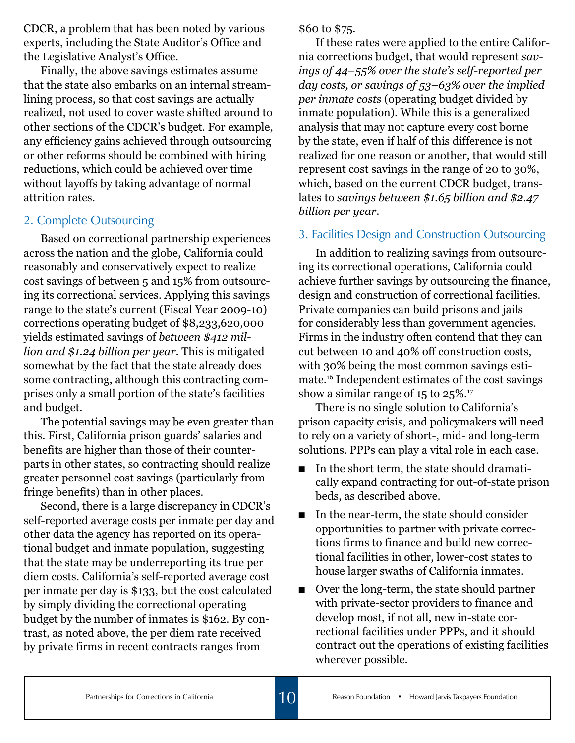CDCR, a problem that has been noted by various experts, including the State Auditor's Office and the Legislative Analyst's Office.

Finally, the above savings estimates assume that the state also embarks on an internal streamlining process, so that cost savings are actually realized, not used to cover waste shifted around to other sections of the CDCR's budget. For example, any efficiency gains achieved through outsourcing or other reforms should be combined with hiring reductions, which could be achieved over time without layoffs by taking advantage of normal attrition rates.

#### 2. Complete Outsourcing

Based on correctional partnership experiences across the nation and the globe, California could reasonably and conservatively expect to realize cost savings of between 5 and 15% from outsourcing its correctional services. Applying this savings range to the state's current (Fiscal Year 2009-10) corrections operating budget of \$8,233,620,000 yields estimated savings of *between \$412 million and \$1.24 billion per year*. This is mitigated somewhat by the fact that the state already does some contracting, although this contracting comprises only a small portion of the state's facilities and budget.

The potential savings may be even greater than this. First, California prison guards' salaries and benefits are higher than those of their counterparts in other states, so contracting should realize greater personnel cost savings (particularly from fringe benefits) than in other places.

Second, there is a large discrepancy in CDCR's self-reported average costs per inmate per day and other data the agency has reported on its operational budget and inmate population, suggesting that the state may be underreporting its true per diem costs. California's self-reported average cost per inmate per day is \$133, but the cost calculated by simply dividing the correctional operating budget by the number of inmates is \$162. By contrast, as noted above, the per diem rate received by private firms in recent contracts ranges from

\$60 to \$75.

If these rates were applied to the entire California corrections budget, that would represent *savings of 44–55% over the state's self-reported per day costs, or savings of 53–63% over the implied per inmate costs* (operating budget divided by inmate population). While this is a generalized analysis that may not capture every cost borne by the state, even if half of this difference is not realized for one reason or another, that would still represent cost savings in the range of 20 to 30%, which, based on the current CDCR budget, translates to *savings between \$1.65 billion and \$2.47 billion per year*.

#### 3. Facilities Design and Construction Outsourcing

In addition to realizing savings from outsourcing its correctional operations, California could achieve further savings by outsourcing the finance, design and construction of correctional facilities. Private companies can build prisons and jails for considerably less than government agencies. Firms in the industry often contend that they can cut between 10 and 40% off construction costs, with 30% being the most common savings estimate.16 Independent estimates of the cost savings show a similar range of  $15$  to  $25\%$ .<sup>17</sup>

There is no single solution to California's prison capacity crisis, and policymakers will need to rely on a variety of short-, mid- and long-term solutions. PPPs can play a vital role in each case.

- n In the short term, the state should dramatically expand contracting for out-of-state prison beds, as described above.
- n In the near-term, the state should consider opportunities to partner with private corrections firms to finance and build new correctional facilities in other, lower-cost states to house larger swaths of California inmates.
- Over the long-term, the state should partner with private-sector providers to finance and develop most, if not all, new in-state correctional facilities under PPPs, and it should contract out the operations of existing facilities wherever possible.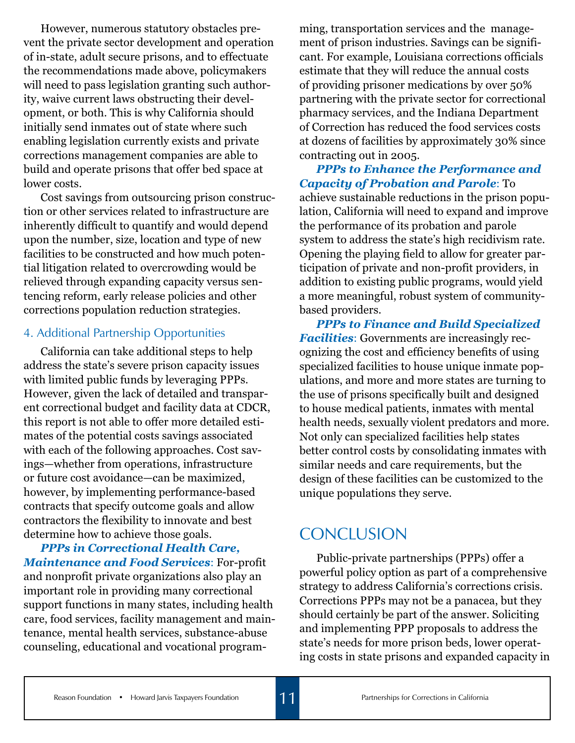However, numerous statutory obstacles prevent the private sector development and operation of in-state, adult secure prisons, and to effectuate the recommendations made above, policymakers will need to pass legislation granting such authority, waive current laws obstructing their development, or both. This is why California should initially send inmates out of state where such enabling legislation currently exists and private corrections management companies are able to build and operate prisons that offer bed space at lower costs.

Cost savings from outsourcing prison construction or other services related to infrastructure are inherently difficult to quantify and would depend upon the number, size, location and type of new facilities to be constructed and how much potential litigation related to overcrowding would be relieved through expanding capacity versus sentencing reform, early release policies and other corrections population reduction strategies.

### 4. Additional Partnership Opportunities

California can take additional steps to help address the state's severe prison capacity issues with limited public funds by leveraging PPPs. However, given the lack of detailed and transparent correctional budget and facility data at CDCR, this report is not able to offer more detailed estimates of the potential costs savings associated with each of the following approaches. Cost savings—whether from operations, infrastructure or future cost avoidance—can be maximized, however, by implementing performance-based contracts that specify outcome goals and allow contractors the flexibility to innovate and best determine how to achieve those goals.

*PPPs in Correctional Health Care, Maintenance and Food Services*: For-profit and nonprofit private organizations also play an important role in providing many correctional support functions in many states, including health care, food services, facility management and maintenance, mental health services, substance-abuse counseling, educational and vocational program-

ming, transportation services and the management of prison industries. Savings can be significant. For example, Louisiana corrections officials estimate that they will reduce the annual costs of providing prisoner medications by over 50% partnering with the private sector for correctional pharmacy services, and the Indiana Department of Correction has reduced the food services costs at dozens of facilities by approximately 30% since contracting out in 2005.

*PPPs to Enhance the Performance and Capacity of Probation and Parole*: To achieve sustainable reductions in the prison population, California will need to expand and improve the performance of its probation and parole system to address the state's high recidivism rate. Opening the playing field to allow for greater participation of private and non-profit providers, in addition to existing public programs, would yield a more meaningful, robust system of communitybased providers.

*PPPs to Finance and Build Specialized Facilities*: Governments are increasingly recognizing the cost and efficiency benefits of using specialized facilities to house unique inmate populations, and more and more states are turning to the use of prisons specifically built and designed to house medical patients, inmates with mental health needs, sexually violent predators and more. Not only can specialized facilities help states better control costs by consolidating inmates with similar needs and care requirements, but the design of these facilities can be customized to the unique populations they serve.

## Conclusion

Public-private partnerships (PPPs) offer a powerful policy option as part of a comprehensive strategy to address California's corrections crisis. Corrections PPPs may not be a panacea, but they should certainly be part of the answer. Soliciting and implementing PPP proposals to address the state's needs for more prison beds, lower operating costs in state prisons and expanded capacity in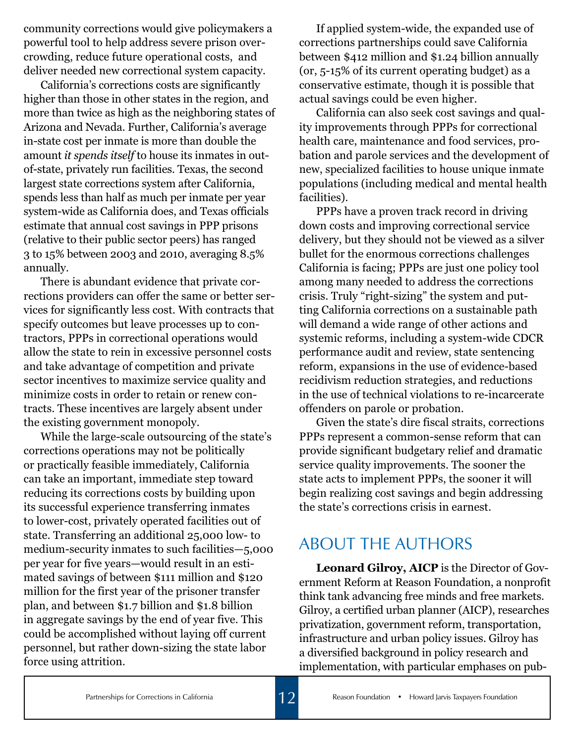community corrections would give policymakers a powerful tool to help address severe prison overcrowding, reduce future operational costs, and deliver needed new correctional system capacity.

California's corrections costs are significantly higher than those in other states in the region, and more than twice as high as the neighboring states of Arizona and Nevada. Further, California's average in-state cost per inmate is more than double the amount *it spends itself* to house its inmates in outof-state, privately run facilities. Texas, the second largest state corrections system after California, spends less than half as much per inmate per year system-wide as California does, and Texas officials estimate that annual cost savings in PPP prisons (relative to their public sector peers) has ranged 3 to 15% between 2003 and 2010, averaging 8.5% annually.

There is abundant evidence that private corrections providers can offer the same or better services for significantly less cost. With contracts that specify outcomes but leave processes up to contractors, PPPs in correctional operations would allow the state to rein in excessive personnel costs and take advantage of competition and private sector incentives to maximize service quality and minimize costs in order to retain or renew contracts. These incentives are largely absent under the existing government monopoly.

While the large-scale outsourcing of the state's corrections operations may not be politically or practically feasible immediately, California can take an important, immediate step toward reducing its corrections costs by building upon its successful experience transferring inmates to lower-cost, privately operated facilities out of state. Transferring an additional 25,000 low- to medium-security inmates to such facilities—5,000 per year for five years—would result in an estimated savings of between \$111 million and \$120 million for the first year of the prisoner transfer plan, and between \$1.7 billion and \$1.8 billion in aggregate savings by the end of year five. This could be accomplished without laying off current personnel, but rather down-sizing the state labor force using attrition.

If applied system-wide, the expanded use of corrections partnerships could save California between \$412 million and \$1.24 billion annually (or, 5-15% of its current operating budget) as a conservative estimate, though it is possible that actual savings could be even higher.

California can also seek cost savings and quality improvements through PPPs for correctional health care, maintenance and food services, probation and parole services and the development of new, specialized facilities to house unique inmate populations (including medical and mental health facilities).

PPPs have a proven track record in driving down costs and improving correctional service delivery, but they should not be viewed as a silver bullet for the enormous corrections challenges California is facing; PPPs are just one policy tool among many needed to address the corrections crisis. Truly "right-sizing" the system and putting California corrections on a sustainable path will demand a wide range of other actions and systemic reforms, including a system-wide CDCR performance audit and review, state sentencing reform, expansions in the use of evidence-based recidivism reduction strategies, and reductions in the use of technical violations to re-incarcerate offenders on parole or probation.

Given the state's dire fiscal straits, corrections PPPs represent a common-sense reform that can provide significant budgetary relief and dramatic service quality improvements. The sooner the state acts to implement PPPs, the sooner it will begin realizing cost savings and begin addressing the state's corrections crisis in earnest.

## ABOUT THE AUTHORS

**Leonard Gilroy, AICP** is the Director of Government Reform at Reason Foundation, a nonprofit think tank advancing free minds and free markets. Gilroy, a certified urban planner (AICP), researches privatization, government reform, transportation, infrastructure and urban policy issues. Gilroy has a diversified background in policy research and implementation, with particular emphases on pub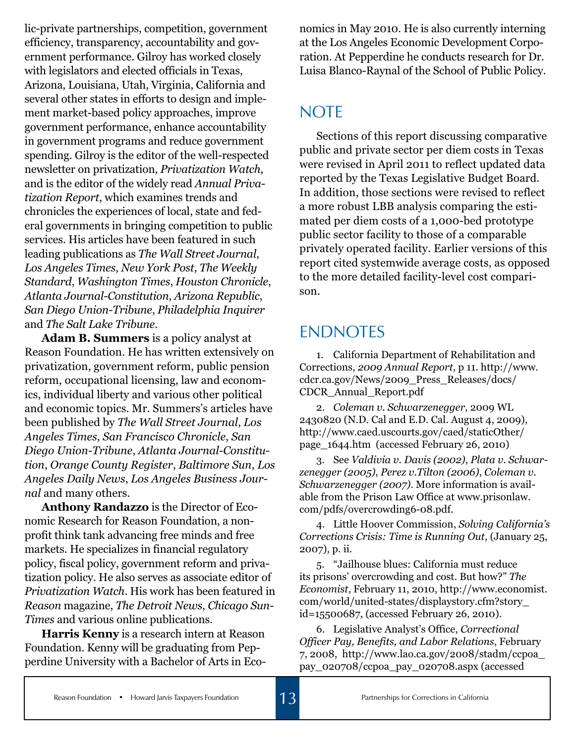lic-private partnerships, competition, government efficiency, transparency, accountability and government performance. Gilroy has worked closely with legislators and elected officials in Texas, Arizona, Louisiana, Utah, Virginia, California and several other states in efforts to design and implement market-based policy approaches, improve government performance, enhance accountability in government programs and reduce government spending. Gilroy is the editor of the well-respected newsletter on privatization, *Privatization Watch*, and is the editor of the widely read *Annual Privatization Report*, which examines trends and chronicles the experiences of local, state and federal governments in bringing competition to public services. His articles have been featured in such leading publications as *The Wall Street Journal*, *Los Angeles Times*, *New York Post*, *The Weekly Standard*, *Washington Times*, *Houston Chronicle*, *Atlanta Journal-Constitution*, *Arizona Republic*, *San Diego Union-Tribune*, *Philadelphia Inquirer* and *The Salt Lake Tribune*.

**Adam B. Summers** is a policy analyst at Reason Foundation. He has written extensively on privatization, government reform, public pension reform, occupational licensing, law and economics, individual liberty and various other political and economic topics. Mr. Summers's articles have been published by *The Wall Street Journal*, *Los Angeles Times*, *San Francisco Chronicle*, *San Diego Union-Tribune*, *Atlanta Journal-Constitution*, *Orange County Register*, *Baltimore Sun*, *Los Angeles Daily News*, *Los Angeles Business Journal* and many others.

**Anthony Randazzo** is the Director of Economic Research for Reason Foundation, a nonprofit think tank advancing free minds and free markets. He specializes in financial regulatory policy, fiscal policy, government reform and privatization policy. He also serves as associate editor of *Privatization Watch*. His work has been featured in *Reason* magazine, *The Detroit News*, *Chicago Sun-Times* and various online publications.

**Harris Kenny** is a research intern at Reason Foundation. Kenny will be graduating from Pepperdine University with a Bachelor of Arts in Eco-

nomics in May 2010. He is also currently interning at the Los Angeles Economic Development Corporation. At Pepperdine he conducts research for Dr. Luisa Blanco-Raynal of the School of Public Policy.

# **NOTE**

Sections of this report discussing comparative public and private sector per diem costs in Texas were revised in April 2011 to reflect updated data reported by the Texas Legislative Budget Board. In addition, those sections were revised to reflect a more robust LBB analysis comparing the estimated per diem costs of a 1,000-bed prototype public sector facility to those of a comparable privately operated facility. Earlier versions of this report cited systemwide average costs, as opposed to the more detailed facility-level cost comparison.

# **ENDNOTES**

1. California Department of Rehabilitation and Corrections, *2009 Annual Report*, p 11. http://www. cdcr.ca.gov/News/2009\_Press\_Releases/docs/ CDCR\_Annual\_Report.pdf

2. *Coleman v. Schwarzenegger*, 2009 WL 2430820 (N.D. Cal and E.D. Cal. August 4, 2009), http://www.caed.uscourts.gov/caed/staticOther/ page\_1644.htm (accessed February 26, 2010)

3. See *Valdivia v. Davis (2002)*, *Plata v. Schwarzenegger (2005)*, *Perez v.Tilton (2006)*, *Coleman v. Schwarzenegger (2007)*. More information is available from the Prison Law Office at www.prisonlaw. com/pdfs/overcrowding6-08.pdf.

4. Little Hoover Commission, *Solving California's Corrections Crisis: Time is Running Out*, (January 25, 2007), p. ii.

5. "Jailhouse blues: California must reduce its prisons' overcrowding and cost. But how?" *The Economist*, February 11, 2010, http://www.economist. com/world/united-states/displaystory.cfm?story\_ id=15500687, (accessed February 26, 2010).

6. Legislative Analyst's Office, *Correctional Officer Pay, Benefits, and Labor Relations*, February 7, 2008, http://www.lao.ca.gov/2008/stadm/ccpoa\_ pay\_020708/ccpoa\_pay\_020708.aspx (accessed